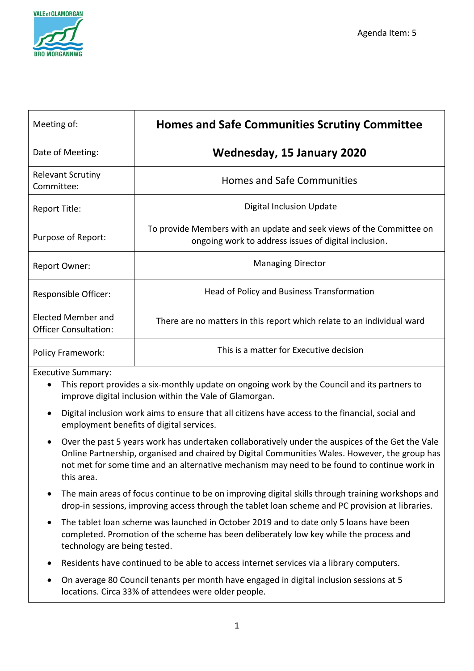

| Meeting of:                                        | <b>Homes and Safe Communities Scrutiny Committee</b>                                                                         |
|----------------------------------------------------|------------------------------------------------------------------------------------------------------------------------------|
| Date of Meeting:                                   | <b>Wednesday, 15 January 2020</b>                                                                                            |
| <b>Relevant Scrutiny</b><br>Committee:             | <b>Homes and Safe Communities</b>                                                                                            |
| Report Title:                                      | <b>Digital Inclusion Update</b>                                                                                              |
| Purpose of Report:                                 | To provide Members with an update and seek views of the Committee on<br>ongoing work to address issues of digital inclusion. |
| Report Owner:                                      | <b>Managing Director</b>                                                                                                     |
| Responsible Officer:                               | Head of Policy and Business Transformation                                                                                   |
| Elected Member and<br><b>Officer Consultation:</b> | There are no matters in this report which relate to an individual ward                                                       |
| <b>Policy Framework:</b>                           | This is a matter for Executive decision                                                                                      |

Executive Summary:

- This report provides a six-monthly update on ongoing work by the Council and its partners to improve digital inclusion within the Vale of Glamorgan.
- Digital inclusion work aims to ensure that all citizens have access to the financial, social and employment benefits of digital services.
- Over the past 5 years work has undertaken collaboratively under the auspices of the Get the Vale Online Partnership, organised and chaired by Digital Communities Wales. However, the group has not met for some time and an alternative mechanism may need to be found to continue work in this area.
- The main areas of focus continue to be on improving digital skills through training workshops and drop-in sessions, improving access through the tablet loan scheme and PC provision at libraries.
- The tablet loan scheme was launched in October 2019 and to date only 5 loans have been completed. Promotion of the scheme has been deliberately low key while the process and technology are being tested.
- Residents have continued to be able to access internet services via a library computers.
- On average 80 Council tenants per month have engaged in digital inclusion sessions at 5 locations. Circa 33% of attendees were older people.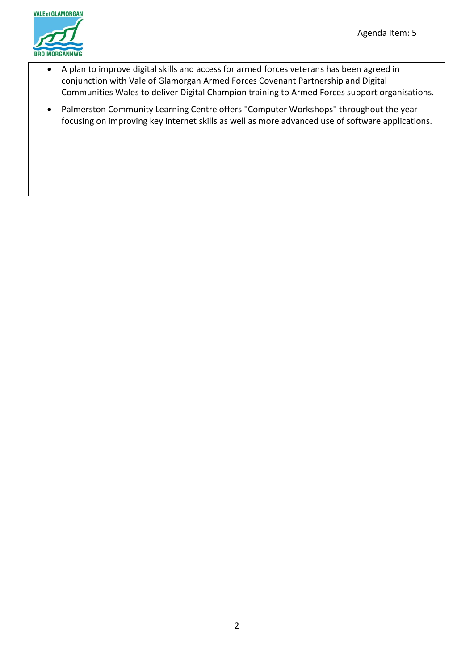

- A plan to improve digital skills and access for armed forces veterans has been agreed in conjunction with Vale of Glamorgan Armed Forces Covenant Partnership and Digital Communities Wales to deliver Digital Champion training to Armed Forces support organisations.
- Palmerston Community Learning Centre offers "Computer Workshops" throughout the year focusing on improving key internet skills as well as more advanced use of software applications.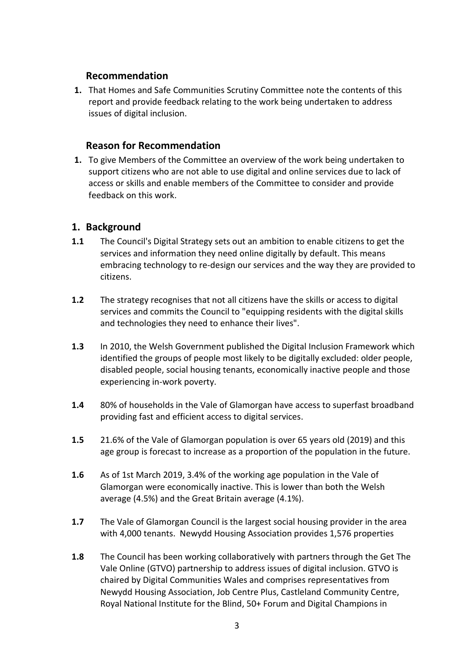#### **Recommendation**

**1.** That Homes and Safe Communities Scrutiny Committee note the contents of this report and provide feedback relating to the work being undertaken to address issues of digital inclusion.

### **Reason for Recommendation**

**1.** To give Members of the Committee an overview of the work being undertaken to support citizens who are not able to use digital and online services due to lack of access or skills and enable members of the Committee to consider and provide feedback on this work.

#### **1. Background**

- **1.1** The Council's Digital Strategy sets out an ambition to enable citizens to get the services and information they need online digitally by default. This means embracing technology to re-design our services and the way they are provided to citizens.
- **1.2** The strategy recognises that not all citizens have the skills or access to digital services and commits the Council to "equipping residents with the digital skills and technologies they need to enhance their lives".
- **1.3** In 2010, the Welsh Government published the Digital Inclusion Framework which identified the groups of people most likely to be digitally excluded: older people, disabled people, social housing tenants, economically inactive people and those experiencing in-work poverty.
- **1.4** 80% of households in the Vale of Glamorgan have access to superfast broadband providing fast and efficient access to digital services.
- **1.5** 21.6% of the Vale of Glamorgan population is over 65 years old (2019) and this age group is forecast to increase as a proportion of the population in the future.
- **1.6** As of 1st March 2019, 3.4% of the working age population in the Vale of Glamorgan were economically inactive. This is lower than both the Welsh average (4.5%) and the Great Britain average (4.1%).
- **1.7** The Vale of Glamorgan Council is the largest social housing provider in the area with 4,000 tenants. Newydd Housing Association provides 1,576 properties
- **1.8** The Council has been working collaboratively with partners through the Get The Vale Online (GTVO) partnership to address issues of digital inclusion. GTVO is chaired by Digital Communities Wales and comprises representatives from Newydd Housing Association, Job Centre Plus, Castleland Community Centre, Royal National Institute for the Blind, 50+ Forum and Digital Champions in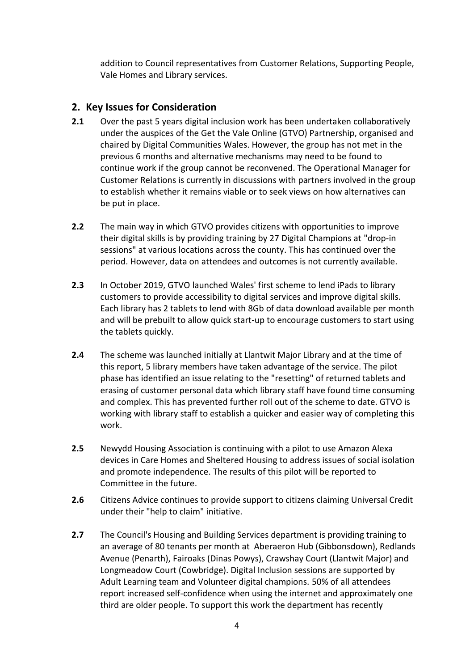addition to Council representatives from Customer Relations, Supporting People, Vale Homes and Library services.

## **2. Key Issues for Consideration**

- **2.1** Over the past 5 years digital inclusion work has been undertaken collaboratively under the auspices of the Get the Vale Online (GTVO) Partnership, organised and chaired by Digital Communities Wales. However, the group has not met in the previous 6 months and alternative mechanisms may need to be found to continue work if the group cannot be reconvened. The Operational Manager for Customer Relations is currently in discussions with partners involved in the group to establish whether it remains viable or to seek views on how alternatives can be put in place.
- **2.2** The main way in which GTVO provides citizens with opportunities to improve their digital skills is by providing training by 27 Digital Champions at "drop-in sessions" at various locations across the county. This has continued over the period. However, data on attendees and outcomes is not currently available.
- **2.3** In October 2019, GTVO launched Wales' first scheme to lend iPads to library customers to provide accessibility to digital services and improve digital skills. Each library has 2 tablets to lend with 8Gb of data download available per month and will be prebuilt to allow quick start-up to encourage customers to start using the tablets quickly.
- **2.4** The scheme was launched initially at Llantwit Major Library and at the time of this report, 5 library members have taken advantage of the service. The pilot phase has identified an issue relating to the "resetting" of returned tablets and erasing of customer personal data which library staff have found time consuming and complex. This has prevented further roll out of the scheme to date. GTVO is working with library staff to establish a quicker and easier way of completing this work.
- **2.5** Newydd Housing Association is continuing with a pilot to use Amazon Alexa devices in Care Homes and Sheltered Housing to address issues of social isolation and promote independence. The results of this pilot will be reported to Committee in the future.
- **2.6** Citizens Advice continues to provide support to citizens claiming Universal Credit under their "help to claim" initiative.
- **2.7** The Council's Housing and Building Services department is providing training to an average of 80 tenants per month at Aberaeron Hub (Gibbonsdown), Redlands Avenue (Penarth), Fairoaks (Dinas Powys), Crawshay Court (Llantwit Major) and Longmeadow Court (Cowbridge). Digital Inclusion sessions are supported by Adult Learning team and Volunteer digital champions. 50% of all attendees report increased self-confidence when using the internet and approximately one third are older people. To support this work the department has recently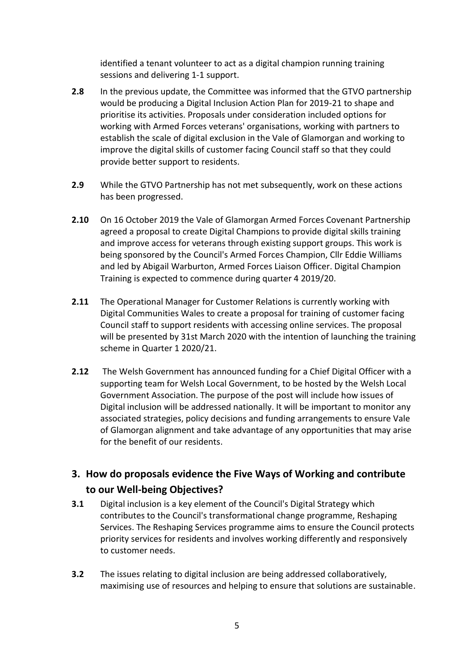identified a tenant volunteer to act as a digital champion running training sessions and delivering 1-1 support.

- **2.8** In the previous update, the Committee was informed that the GTVO partnership would be producing a Digital Inclusion Action Plan for 2019-21 to shape and prioritise its activities. Proposals under consideration included options for working with Armed Forces veterans' organisations, working with partners to establish the scale of digital exclusion in the Vale of Glamorgan and working to improve the digital skills of customer facing Council staff so that they could provide better support to residents.
- **2.9** While the GTVO Partnership has not met subsequently, work on these actions has been progressed.
- **2.10** On 16 October 2019 the Vale of Glamorgan Armed Forces Covenant Partnership agreed a proposal to create Digital Champions to provide digital skills training and improve access for veterans through existing support groups. This work is being sponsored by the Council's Armed Forces Champion, Cllr Eddie Williams and led by Abigail Warburton, Armed Forces Liaison Officer. Digital Champion Training is expected to commence during quarter 4 2019/20.
- **2.11** The Operational Manager for Customer Relations is currently working with Digital Communities Wales to create a proposal for training of customer facing Council staff to support residents with accessing online services. The proposal will be presented by 31st March 2020 with the intention of launching the training scheme in Quarter 1 2020/21.
- **2.12** The Welsh Government has announced funding for a Chief Digital Officer with a supporting team for Welsh Local Government, to be hosted by the Welsh Local Government Association. The purpose of the post will include how issues of Digital inclusion will be addressed nationally. It will be important to monitor any associated strategies, policy decisions and funding arrangements to ensure Vale of Glamorgan alignment and take advantage of any opportunities that may arise for the benefit of our residents.

# **3. How do proposals evidence the Five Ways of Working and contribute to our Well-being Objectives?**

- **3.1** Digital inclusion is a key element of the Council's Digital Strategy which contributes to the Council's transformational change programme, Reshaping Services. The Reshaping Services programme aims to ensure the Council protects priority services for residents and involves working differently and responsively to customer needs.
- **3.2** The issues relating to digital inclusion are being addressed collaboratively, maximising use of resources and helping to ensure that solutions are sustainable.